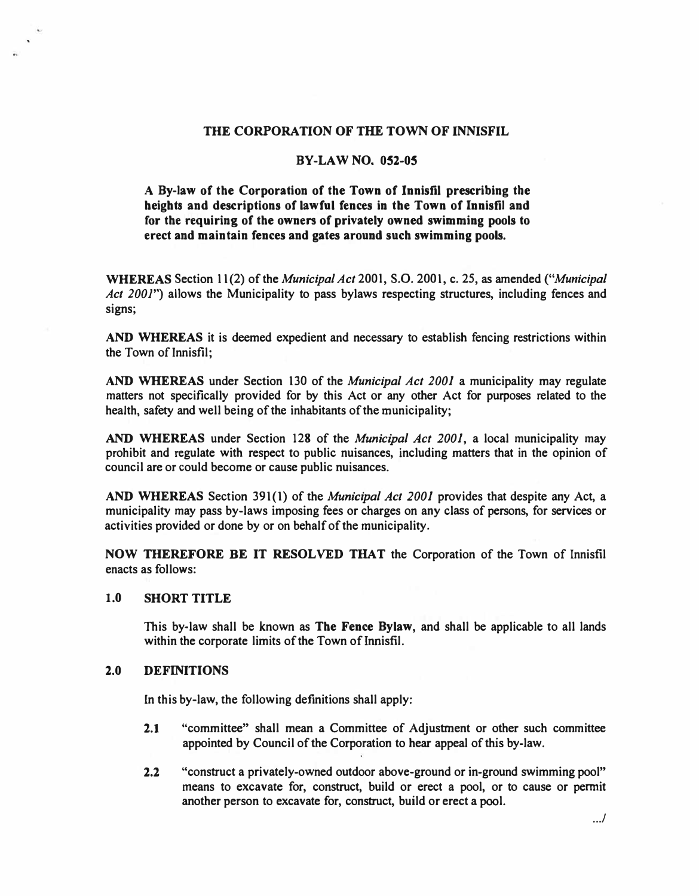## **THE CORPORATION OF THE TOWN OF INNISFIL**

## **BY-LAW NO. 052-05**

**A By-law of the Corporation of the Town of Innisfil prescribing the heights and descriptions of lawful fences in the Town of Innisfil and**  for the requiring of the owners of privately owned swimming pools to **erect and maintain fences and gates around such swimming pools.** 

**WHEREAS Section 11 (2) of the** *Municipal Act* **200 I, S.O. 2001, c. 25, as amended** *("Municipal Act 2001")* **allows the Municipality to pass bylaws respecting structures, including fences and signs;** 

**AND WHEREAS it is deemed expedient and necessary to establish fencing restrictions within the Town of Innisfil;** 

**AND WHEREAS under Section 130 of the** *Municipal Act 2001* **a municipality may regulate matters not specifically provided for by this Act or any other Act for purposes related to the health, safety and well being of the inhabitants of the municipality;** 

**AND WHEREAS under Section 128 of the** *Municipal Act 2001,* **a local municipality may prohibit and regulate with respect to public nuisances, including matters that in the opinion of council are or could become or cause public nuisances.** 

**AND WHEREAS Section 391(1) of the** *Municipal Act 2001* **provides that despite any Act, a municipality may pass by-laws imposing fees or charges on any class of persons, for services or activities provided or done by or on behalf of the municipality.** 

**NOW THEREFORE BE IT RESOLVED THAT the Corporation of the Town of Innisfil enacts as follows:** 

## **1.0 SHORT TITLE**

**This by-law shall be known as The Fence Bylaw, and shall be applicable to all lands within the corporate limits of the Town of Innisfil.** 

## **2.0 DEFINITIONS**

**In this by-law, the following definitions shall apply:** 

- **2.1 "committee" shall mean a Committee of Adjustment or other such committee appointed by Council of the Corporation to hear appeal of this by-law.**
- **2.2 "construct a privately-owned outdoor above-ground or in-ground swimming pool" means to excavate for, construct, build or erect a pool, or to cause or permit another person to excavate for, construct, build or erect a pool.**

.. ./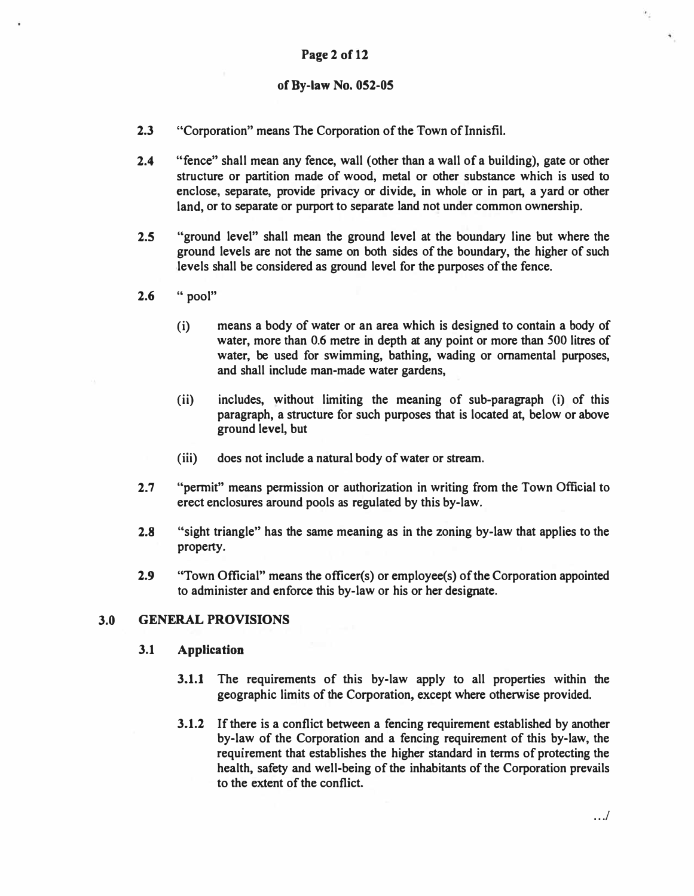## **Page 2 of 12**

## **of By-law No. 052-05**

- **2.3** "Corporation" means The Corporation of the Town of Innisfil.
- 2.4 "fence" shall mean any fence, wall (other than a wall of a building), gate or other **structure or partition made of wood, metal or other substance which is used to enclose, separate, provide privacy or divide, in whole or in part, a yard or other land, or to separate or purport to separate land not under common ownership.**
- **2.5 "ground level" shall mean the ground level at the boundary line but where the ground levels are not the same on both sides of the boundary, the higher of such ,levels shall be considered as ground level for the purposes of the fence.**
- **2.6 " pool"** 
	- **(i) means a body of water or an area which is designed to contain a body of water, more than 0.6 metre in depth at any point or more than 500 litres of water, be used for swimming, bathing, wading or ornamental purposes, and shall include man-made water gardens,**
	- (ii) **includes, without limiting the meaning of sub-paragraph** (i) **of this paragraph, a structure for such purposes that is located at, below or above ground level, but**
	- **(iii) does not include a natural body of water or stream.**
- **2. 7 "permit" means permission or authorization in writing from the Town Official to erect enclosures around pools as regulated by this by-law.**
- **2.8 "sight triangle" has the same meaning as in the zoning by-law that applies to the property.**
- **2.9 "Town Official" means the officer(s) or employee(s) of the Corporation appointed to administer and enforce this by-law or his or her designate.**

## **3.0 GENERAL PROVISIONS**

### **3.1 Application**

- **3.1.1 The requirements of this by-law apply to all properties within the geographic limits of the Corporation, except where otherwise provided.**
- **3.1.2 If there is a conflict between a fencing requirement established by another by-law of the Corporation and a fencing requirement of this by-law, the requirement that establishes the higher standard in terms of protecting the health, safety and well-being of the inhabitants of the Corporation prevails to the extent of the conflict.**

 $\epsilon_{\perp}$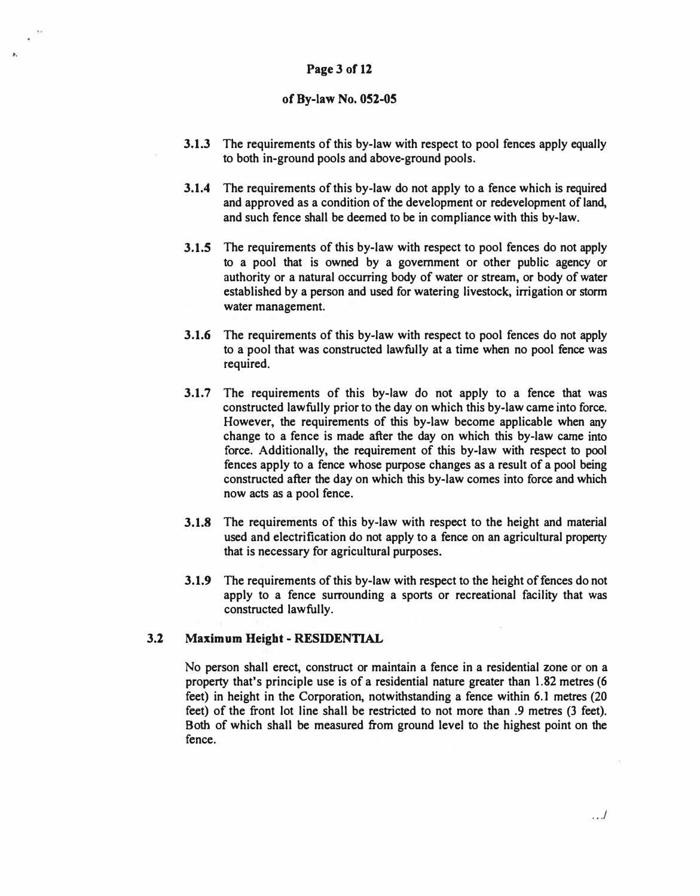## **Page 3 of 12**

..

## **of By-law No. 052-05**

- **3.1.3 The requirements of this by-law with respect to pool fences apply equally to both in-ground pools and above-ground pools.**
- **3.1.4 The requirements of this by-law do not apply to a fence which is required and approved as a condition of the development or redevelopment of land, and such fence shall be deemed to be in compliance with this by-law.**
- **3.1.5 The requirements of this by-law with respect to pool fences do not apply to a pool that is owned by a government or other public agency or authority or a natural occurring body of water or stream, or body of water established by a person and used for watering livestock, irrigation or storm water management.**
- **3.1.6 The requirements of this by-law with respect to pool fences do not apply to a'pool that was constructed lawfully at a time when no pool fence was required.**
- **3.1.7** The requirements of this by-law do not apply to a fence that was **constructed lawfully prior to the day on which this by-law came into force. However, the requirements of this by-law become applicable when any change to a fence is made after the day on which this by-law came into force. Additionally, the requirement of this by-law with respect to pool fences apply to a fence whose purpose changes as a result of a pool being constructed after the day on which this by-law comes into force and which now acts as a pool fence.**
- **3.1.8 The requirements of this by-law with respect to the height and material used and electrification do not apply to a fence on an agricultural property that is necessary for agricultural purposes.**
- **3.1.9** The requirements of this by-law with respect to the height of fences do not **apply to a fence surrounding a sports or recreational facility that was constructed lawfully.**

## **3.2 Maximum Height - RESIDENTIAL**

**No person shall erect, construct or maintain a fence in a residential zone or on a property that's principle use is of a residential nature greater than 1.82 metres (6 feet) in height in the Corporation, notwithstanding a fence within 6.1 metres (20 feet) of the front lot line shall be restricted to not more than .9 metres (3 feet). Both of which shall be measured from ground level to the highest point on the fence.**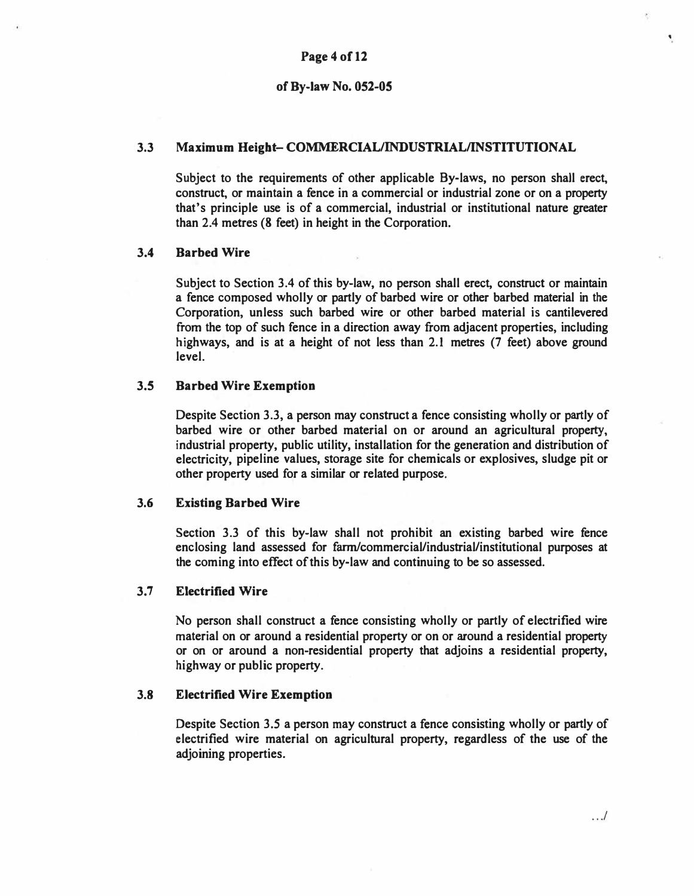## **3.3 Maximum Height- COMMERCIAL/INDUSTRIAL/INSTITUTIONAL**

**Subject to the requirements of other applicable By-laws, no person shall erect, construct, or maintain a fence in a commercial or industrial zone or on a property that's principle use is of a commercial, industrial or institutional nature greater than 2.4 metres (8 feet) in height in the Corporation.** 

### **3.4 Barbed Wire**

**Subject to Section 3.4 of this by-law, no person shall erect, construct or maintain a fence composed wholly or partly of barbed wire or other barbed material in the Corporation, unless such barbed wire or other barbed material is cantilevered from the top of such fence in a direction away from adjacent properties, including highways, and is at a height of not less than 2.1 metres (7 feet) above ground level.** 

### **3.5 Barbed Wire Exemption**

**Despite Section 3.3, a person may construct a fence consisting wholly or partly of barbed wire or other barbed material on or around an agricultural property, industrial property, public utility, installation for the generation and distribution of electricity, pipeline values, storage site for chemicals or explosives, sludge pit or other property used for a similar or related purpose.** 

### **3.6 Existing Barbed Wire**

**Section 3.3 of this by-law shall not prohibit an existing barbed wire fence enclosing land assessed for fann/commercial/industrial/institutional purposes at the coming into effect of this by-law and continuing to be so assessed.** 

### **3. 7 Electrified Wire**

**No person shall construct a fence consisting wholly or partly of electrified wire material on or around a residential property or on or around a residential property or on or around a non-residential property that adjoins a residential property, highway or public property.** 

#### **3.8 Electrified Wire Exemption**

**Despite Section 3.5 a person may construct a fence consisting wholly or partly of electrified wire material on agricultural property, regardless of the use of the adjoining properties.** 

. . *.I* 

•.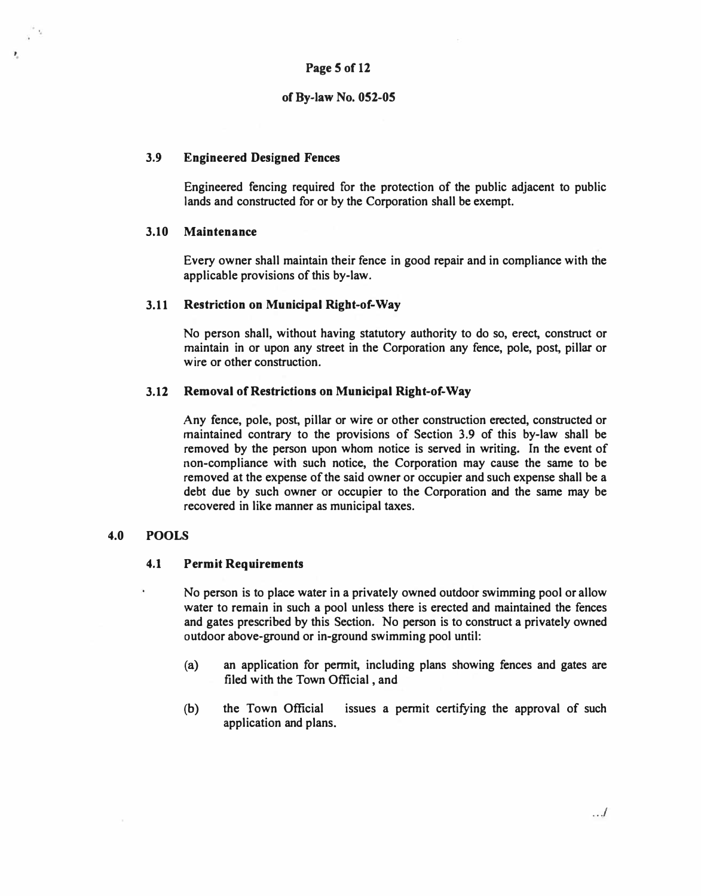## **Page 5 of 12**

## **of By-law No. 052-05**

## **3.9 Engineered Designed Fences**

**Engineered fencing required for the protection of the public adjacent to public lands and constructed for or by the Corporation shall be exempt.** 

## **3.10 Maintenance**

Ł

**Every owner shall maintain their fence in good repair and in compliance with the applicable provisions of this by-law.** 

## **3.11 Restriction on Municipal Right-of-Way**

**No person shall, without having statutory authority to do so, erect, construct or maintain in or upon any street in the Corporation any fence, pole, post, pillar or wire or other construction.** 

## **3.12 Removal of Restrictions on Municipal Right-of-Way**

**Any fence, pole, post, pillar or wire or other construction erected, constructed or maintained contrary to the provisions of Section 3.9 of this by-law shall be removed by the person upon whom notice is served in writing. In the event of non-compliance with such notice, the Corporation may cause the same to be removed at the expense of the said owner or occupier and such expense shall be a debt due by such owner or occupier to the Corporation and the same may be recovered in like manner as municipal taxes.** 

## **4.0 POOLS**

### **4.1 Permit Requirements**

**No person is to place water in a privately owned outdoor swimming pool or allow water to remain in such a pool unless there is erected and maintained the fences and gates prescribed by this Section. No person is to construct a privately owned outdoor above-ground or in-ground swimming pool until:** 

- **(a) an application for permit, including plans showing fences and gates are filed with the Town Official , and**
- **(b) the Town Official issues a permit certifying the approval of such application and plans.**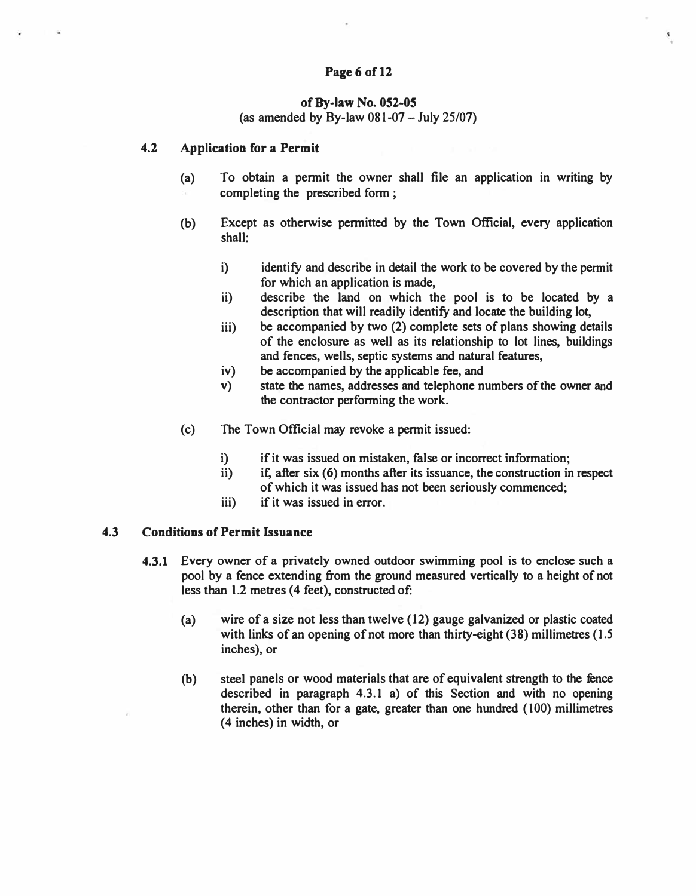## **Page 6 of 12**

## **of By-law No. 052-05 (as amended by By-law 081-07-July 25/07)**

### **4.2 Application for a Permit**

- **(a) To obtain a pennit the owner shall file an application in writing by completing the prescribed fonn ;**
- **(b) Except as otherwise pennitted by the Town Official, every application shall:**
	- **i) identify and describe in detail the work to be covered by the permit for which an application is made,**

۹.

- **ii) describe the land on which the pool is to be located by a description that will readily identify and locate the building lot,**
- **iii) be accompanied by two (2) complete sets of plans showing details of the enclosure as well as its relationship to lot lines, buildings and fences, wells, septic systems and natural features,**
- **iv) be accompanied by the applicable fee, and**
- **v) state the names, addresses and telephone numbers of the owner and the contractor perfonning the work.**
- **(c) The Town Official may revoke a pennit issued:**
	- **i) if it was issued on mistaken, false or incorrect information;**
	- **ii) if, after six (6) months after its issuance, the construction in respect of which it was issued has not been seriously commenced;**
	- **iii) if it was issued in error.**

### **4.3 Conditions of Permit Issuance**

- **4.3.1 Every owner of a privately owned outdoor swimming pool is to enclose such a pool by a fence extending from the ground measured vertically to a height of not**  less than 1.2 metres (4 feet), constructed of:
	- **(a) wire of a size not less than twelve (12) gauge galvanized or plastic coated with links of an opening of not more than thirty-eight (38) millimetres (1.5 inches), or**
	- **(b) steel panels or wood materials that are of equivalent strength to the fence described in paragraph 4.3.1 a) of this Section and with no opening therein, other than for a gate, greater than one hundred ( 100) millimetres ( 4 inches) in width, or**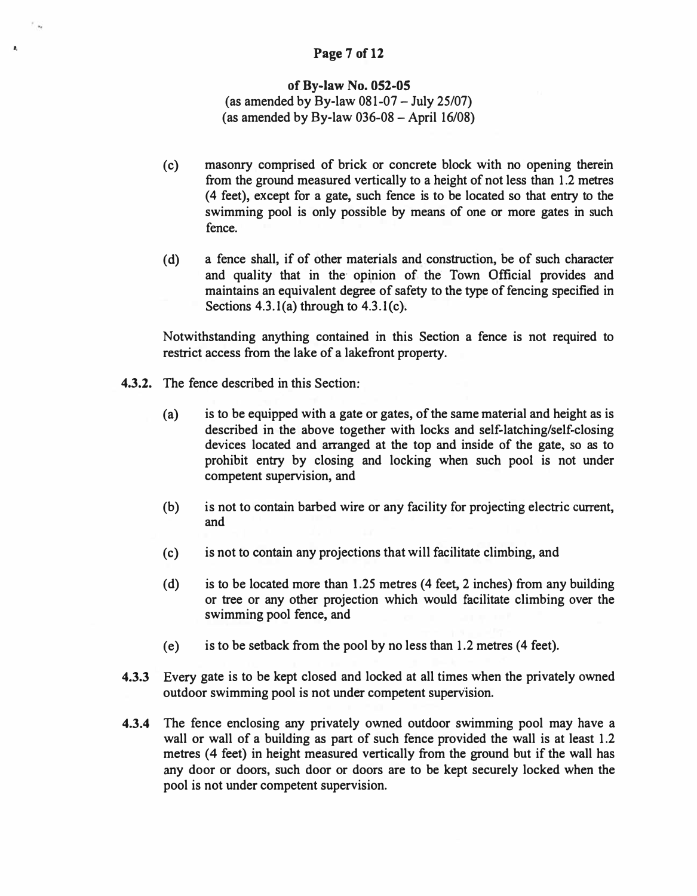# ,. **Page 7 of 12**

## **of By-law No. 052-05**

(as amended by By-law  $081-07 -$  July 25/07) (as amended by By-law  $036-08$  – April 16/08)

- ( c) masonry comprised of brick or concrete block with no opening therein from the ground measured vertically to a height of not less than 1.2 metres ( 4 feet), except for a gate, such fence is to be located so that entry to the swimming pool is only possible by means of one or more gates in such fence.
- (d) a fence shall, if of other materials and construction, be of such character and quality that in the opinion of the Town Official provides and maintains an equivalent degree of safety to the type of fencing specified in Sections  $4.3.1(a)$  through to  $4.3.1(c)$ .

Notwithstanding anything contained in this Section a fence is not required to restrict access from the lake of a lakefront property.

- **4.3.2.** The fence described in this Section:
	- (a) is to be equipped with a gate or gates, of the same material and height as is described in the above together with locks and self-latching/self-closing devices located and arranged at the top and inside of the gate, so as to prohibit entry by closing and locking when such pool is not under competent supervision, and
	- (b) is not to contain barbed wire or any facility for projecting electric current, and
	- ( c) is not to contain any projections that will facilitate climbing, and
	- (d) is to be located more than 1.25 metres (4 feet, 2 inches) from any building or tree or any other projection which would facilitate climbing over the swimming pool fence, and
	- (e) is to be setback from the pool by no less than 1.2 metres (4 feet).
- **4.3.3** Every gate is to be kept closed and locked at all times when the privately owned outdoor swimming pool is not under competent supervision.
- **4.3.4** The fence enclosing any privately owned outdoor swimming pool may have a wall or wall of a building as part of such fence provided the wall is at least 1.2 metres (4 feet) in height measured vertically from the ground but if the wall has any door or doors, such door or doors are to be kept securely locked when the pool is not under competent supervision.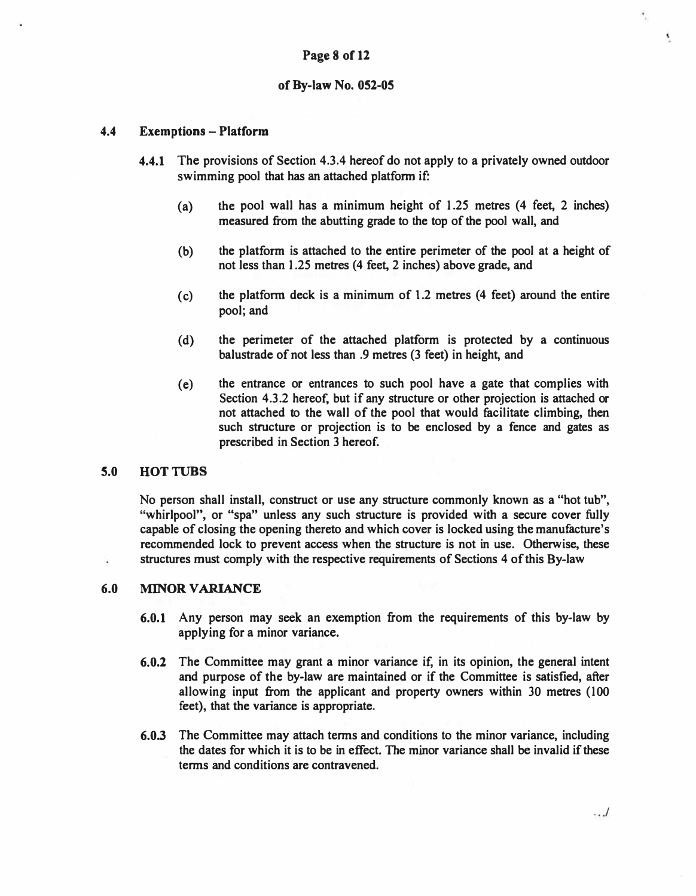## **4.4 Exemptions - Platform**

- **4.4.1 The provisions of Section 4.3.4 hereof do not apply to a privately owned outdoor swimming pool that has an attached platform if:** 
	- **(a) the pool wall has a minimum height of 1.25 metres (4 feet, 2 inches) measured from the abutting grade to the top of the pool wall, and**
	- **(b) the platform is attached to the entire perimeter of the pool at a height of not less than 1.25 metres (4 feet, 2 inches) above grade, and**
	- **(c) the platform deck is a minimum of 1.2 metres (4 feet) around the entire pool; and**
	- **( d) the perimeter of the attached platform is protected by a continuous balustrade of not less than .9 metres (3 feet) in height, and**
	- **(e) the entrance or entrances to such pool have a gate that complies with Section 4.3.2 hereof, but if any structure or other projection is attached or not attached to the wall of the pool that would facilitate climbing, then such structure or projection is to be enclosed by a fence and gates as prescribed in Section 3 hereof.**

## **5.0 HOTTUBS**

¥.

**No person shall install, construct or use any structure commonly known as a "hot tub", ''whirlpool", or "spa" unless any such structure is provided with a secure cover fully capable of closing the opening thereto and which cover is locked using the manufacture's recommended lock to prevent access when the structure is not in use. Otherwise, these structures must comply with the respective requirements of Sections 4 of this By-law** 

### **6.0 MINOR VARIANCE**

- **6.0.1 Any person may seek an exemption from the requirements of this by-law by applying for a minor variance.**
- **6.0.2 The Committee may grant a minor variance if, in its opinion, the general intent and purpose of the by-law are maintained or if the Committee is satisfied, after allowing input from the applicant and property owners within 30 metres (100 feet), that the variance is appropriate.**
- **6.0.3 The Committee may attach terms and conditions to the minor variance, including the dates for which it is to be in effect. The minor variance shall be invalid if these terms and conditions are contravened.**

. . *.I* 

۰.

£.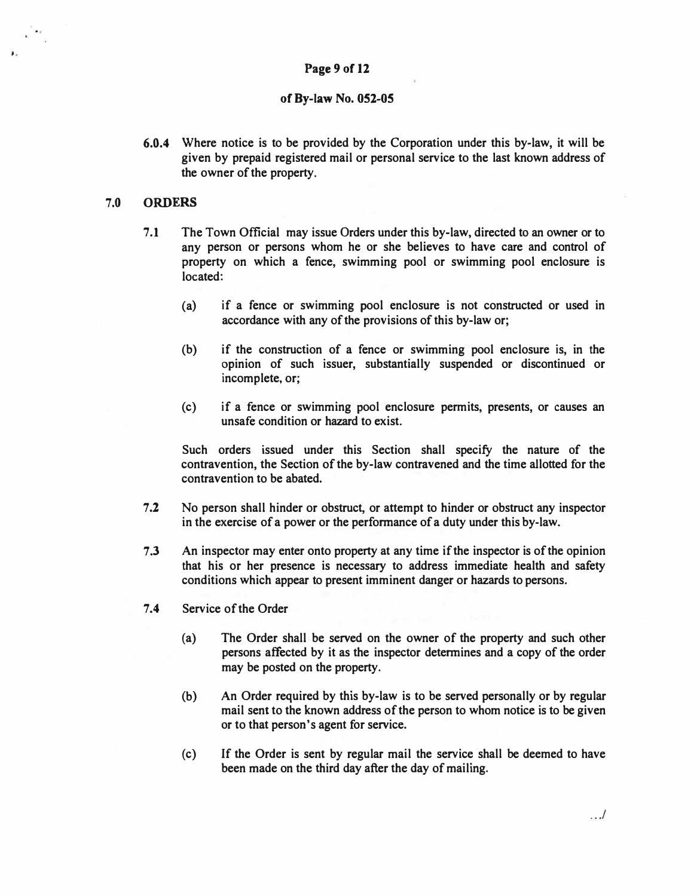## **Page 9 of 12**

#### **of By-law No. 052-05**

**6.0.4 Where notice is to be provided by the Corporation under this by-law, it will be given by prepaid registered mail or personal service to the last known address of the owner of the property.** 

### **7.0 ORDERS**

,.

- **7.1 The Town Official may issue Orders under this by-law, directed to an owner or to any person or persons whom he or she believes to have care and control of property on which a fence, swimming pool or swimming pool enclosure is located:** 
	- **(a) if a fence or swimming pool enclosure is not constructed or used in accordance with any of the provisions of this by-law or;**
	- **(b) if the construction of a fence or swimming pool enclosure is, in the opinion of such issuer, substantially suspended or discontinued or incomplete, or;**
	- **(c) if a fence or swimming pool enclosure permits, presents, or causes an unsafe condition or hazard to exist.**

**Such orders issued under this Section shall specify the nature of the contravention, the Section of the by-law contravened and the time allotted for the contravention to be abated.** 

- **7.2 No person shall hinder or obstruct, or attempt to hinder or obstruct any inspector in the exercise of a power or the performance of a duty under this by-law.**
- **7.3 An inspector may enter onto property at any time if the inspector is of the opinion that his or her presence is necessary to address immediate health and safety conditions which appear to present imminent danger or hazards to persons.**
- **7.4 Service of the Order** 
	- **(a) The Order shall be served on the owner of the property and such other persons affected by it as the inspector determines and a copy of the order may be posted on the property.**
	- **(b) An Order required by this by-law is to be served personally or by regular mail sent to the known address of the person to whom notice is to be given or to that person's agent for service.**
	- **(c) If the Order is sent by regular mail the service shall be deemed to have been made on the third day after the day of mailing.**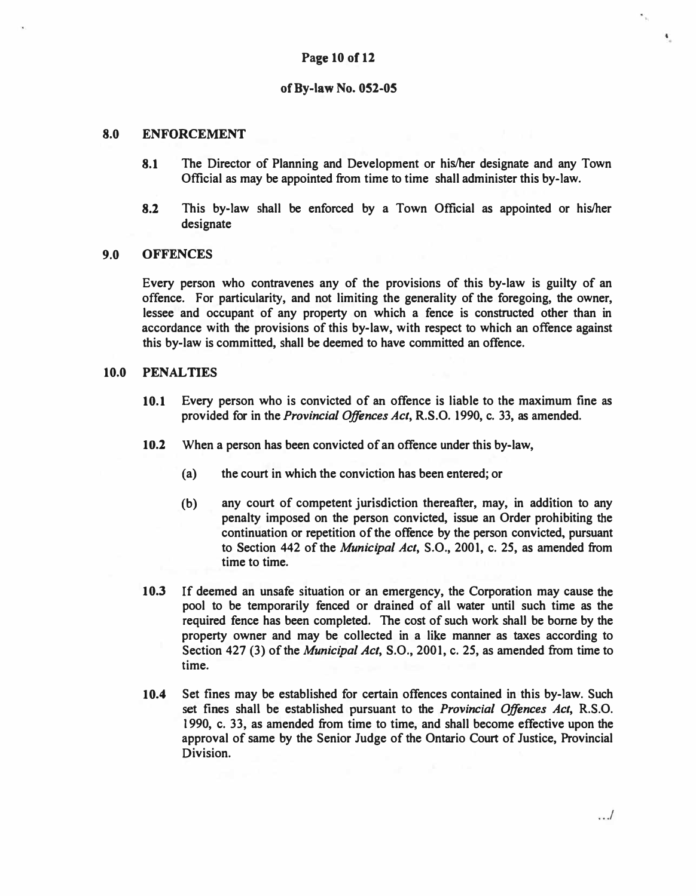### **8.0 ENFORCEMENT**

- **8.1 The Director of Planning and Development or his/her designate and any Town Official as may be appointed from time to time shall administer this by-law.**
- **8.2 This by-law shall be enforced by a Town Official as appointed or his/her designate**

#### **9.0 OFFENCES**

**Every person who contravenes any of the provisions of this by-law is guilty of an offence. For particularity, and not limiting the generality of the foregoing, the owner, lessee and occupant of any property on which a fence is constructed other than in accordance with the provisions of this by-law, with respect to which an offence against this by-law is committed, shall be deemed to have committed an offence.** 

#### **10.0 PENAL TIES**

- **10.1 Every person who is convicted of an offence is liable to the maximum fine as provided for in the** *Provincial Offences Act,* **R.S.O. 1990, c. 33, as amended.**
- **10.2 When a person has been convicted of an offence under this by-law,** 
	- **(a) the court in which the conviction has been entered; or**
	- **(b) any court of competent jurisdiction thereafter, may, in addition to any penalty imposed on the person convicted, issue an Order prohibiting the continuation or repetition of the offence by the person convicted, pursuant to Section 442 of the** *Municipal Act,* **S.O., 2001, c. 25, as amended from time to time.**
- **10.3 If deemed an unsafe situation or an emergency, the Corporation may cause the pool to be temporarily fenced or drained of all water until such time as the required fence has been completed. The cost of such work shall be borne by the property owner and may be collected in a like manner as taxes according to Section 427 (3) of the** *Municipal Act,* **S.O., 2001, c. 25, as amended from time to time.**
- **10.4 Set fines may be established for certain offences contained in this by-law. Such set fines shall be established pursuant to the** *Provincial Offences Act,* **R.S.O. 1990, c. 33, as amended from time to time, and shall become effective upon the approval of same by the Senior Judge of the Ontario Court of Justice, Provincial Division.**

 $\ddot{\phantom{0}}$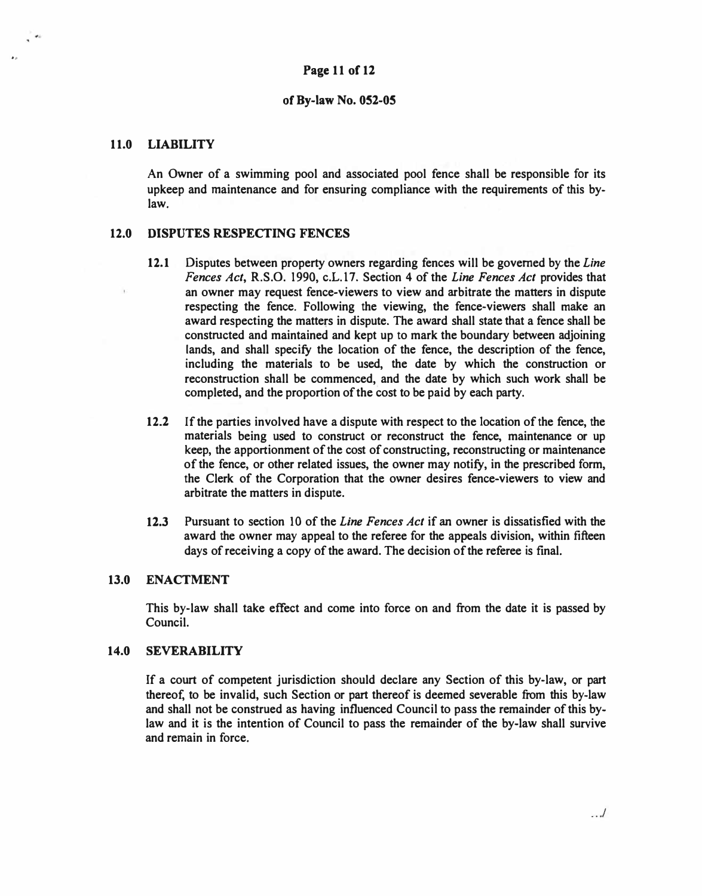## **11.0 LIABILITY**

..

**An Owner of a swimming pool and associated pool fence shall be responsible for its upkeep and maintenance and for ensuring compliance with the requirements of this bylaw.** 

## **12.0 DISPUTES RESPECTING FENCES**

- **12.1 Disputes between property owners regarding fences will be governed by the** *Line Fences Act,* **R.S.O. 1990, c.L.17. Section 4 of the** *Line Fences Act* **provides that an owner may request fence-viewers to view and arbitrate the matters in dispute respecting the fence. Following the viewing, the fence-viewers shall make an award respecting the matters in dispute. The award shall state that a fence shall be constructed and maintained and kept up to mark the boundary between adjoining lands, and shall specify the location of the fence, the description of the fence, including the materials to be used, the date by which the construction or reconstruction shall be commenced, and the date by which such work shall be completed, and the proportion of the cost to be paid by each party.**
- **12.2 If the parties involved have a dispute with respect to the location of the fence, the materials being used to construct or reconstruct the fence, maintenance or up keep, the apportionment of the cost of constructing, reconstructing or maintenance of the fence, or other related issues, the owner may notify, in the prescribed form, the Clerk of the Corporation that the owner desires fence-viewers to view and arbitrate the matters in dispute.**
- **12.3 Pursuant to section IO of the** *Line Fences Act* **if an owner is dissatisfied with the award the owner may appeal to the referee for the appeals division, within fifteen days of receiving a copy of the award. The decision of the referee is final.**

## **13.0 ENACTMENT**

**This by-law shall take effect and come into force on and from the date it is passed by Council.** 

## **14.0 SEVERABILITY**

**If a court of competent jurisdiction should declare any Section of this by-law, or part thereof, to be invalid, such Section or part thereof is deemed severable from this by-law and shall not be construed as having influenced Council to pass the remainder of this bylaw and it is the intention of Council to pass the remainder of the by-law shall survive and remain in force.**